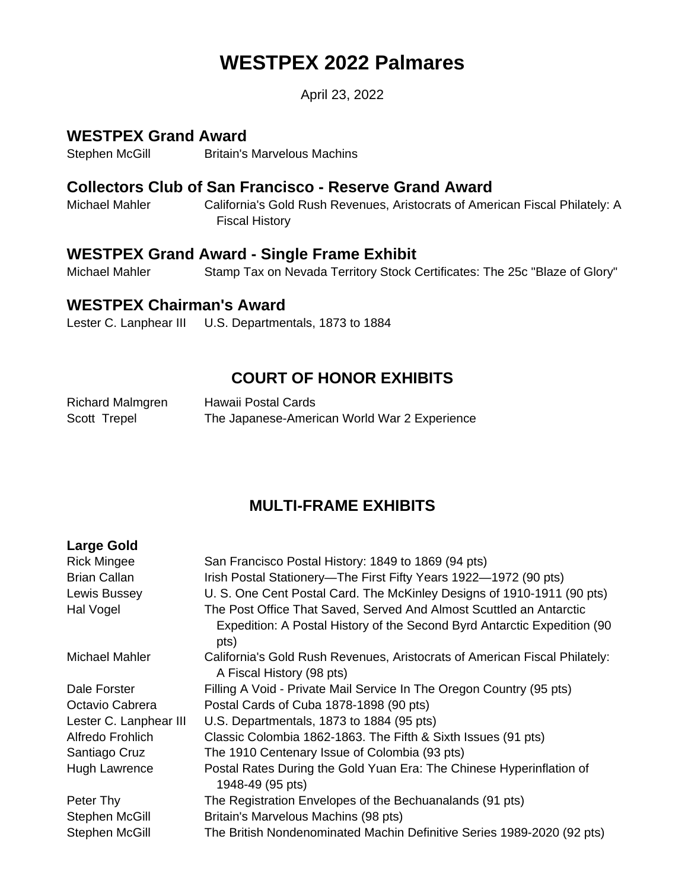# **WESTPEX 2022 Palmares**

April 23, 2022

# **WESTPEX Grand Award**

Stephen McGill Britain's Marvelous Machins

# **Collectors Club of San Francisco - Reserve Grand Award**

Michael Mahler California's Gold Rush Revenues, Aristocrats of American Fiscal Philately: A Fiscal History

# **WESTPEX Grand Award - Single Frame Exhibit**

Michael Mahler Stamp Tax on Nevada Territory Stock Certificates: The 25c "Blaze of Glory"

# **WESTPEX Chairman's Award**

Lester C. Lanphear III U.S. Departmentals, 1873 to 1884

# **COURT OF HONOR EXHIBITS**

| Richard Malmgren | Hawaii Postal Cards                          |
|------------------|----------------------------------------------|
| Scott Trepel     | The Japanese-American World War 2 Experience |

# **MULTI-FRAME EXHIBITS**

| <b>Large Gold</b>      |                                                                                                         |
|------------------------|---------------------------------------------------------------------------------------------------------|
| <b>Rick Mingee</b>     | San Francisco Postal History: 1849 to 1869 (94 pts)                                                     |
| <b>Brian Callan</b>    | Irish Postal Stationery—The First Fifty Years 1922—1972 (90 pts)                                        |
| Lewis Bussey           | U. S. One Cent Postal Card. The McKinley Designs of 1910-1911 (90 pts)                                  |
| Hal Vogel              | The Post Office That Saved, Served And Almost Scuttled an Antarctic                                     |
|                        | Expedition: A Postal History of the Second Byrd Antarctic Expedition (90)<br>pts)                       |
| Michael Mahler         | California's Gold Rush Revenues, Aristocrats of American Fiscal Philately:<br>A Fiscal History (98 pts) |
| Dale Forster           | Filling A Void - Private Mail Service In The Oregon Country (95 pts)                                    |
| Octavio Cabrera        | Postal Cards of Cuba 1878-1898 (90 pts)                                                                 |
| Lester C. Lanphear III | U.S. Departmentals, 1873 to 1884 (95 pts)                                                               |
| Alfredo Frohlich       | Classic Colombia 1862-1863. The Fifth & Sixth Issues (91 pts)                                           |
| Santiago Cruz          | The 1910 Centenary Issue of Colombia (93 pts)                                                           |
| Hugh Lawrence          | Postal Rates During the Gold Yuan Era: The Chinese Hyperinflation of<br>1948-49 (95 pts)                |
| Peter Thy              | The Registration Envelopes of the Bechuanalands (91 pts)                                                |
| Stephen McGill         | Britain's Marvelous Machins (98 pts)                                                                    |
| Stephen McGill         | The British Nondenominated Machin Definitive Series 1989-2020 (92 pts)                                  |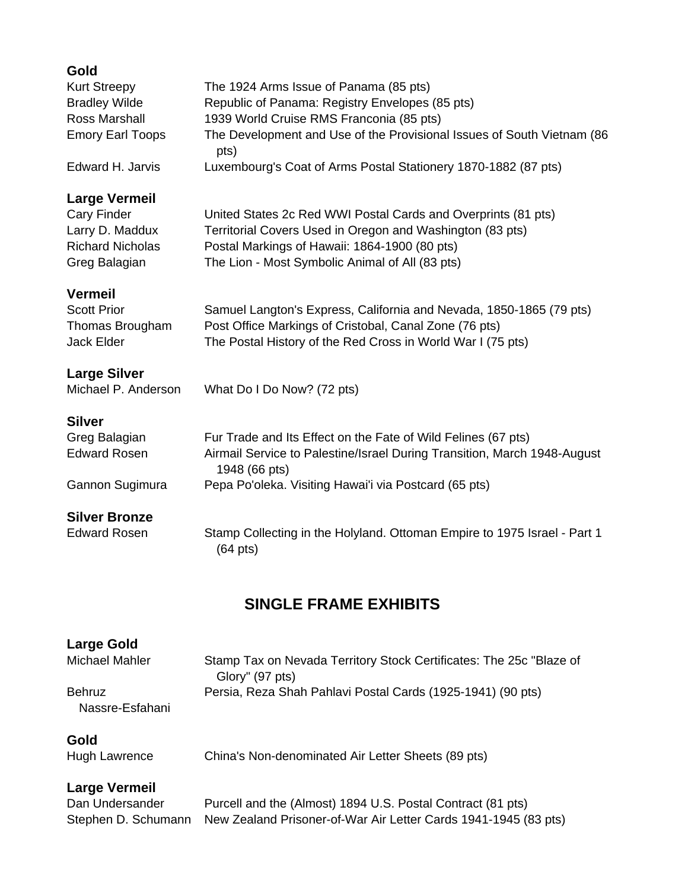| Gold<br><b>Kurt Streepy</b><br><b>Bradley Wilde</b><br>Ross Marshall<br><b>Emory Earl Toops</b><br>Edward H. Jarvis | The 1924 Arms Issue of Panama (85 pts)<br>Republic of Panama: Registry Envelopes (85 pts)<br>1939 World Cruise RMS Franconia (85 pts)<br>The Development and Use of the Provisional Issues of South Vietnam (86<br>pts)<br>Luxembourg's Coat of Arms Postal Stationery 1870-1882 (87 pts) |  |
|---------------------------------------------------------------------------------------------------------------------|-------------------------------------------------------------------------------------------------------------------------------------------------------------------------------------------------------------------------------------------------------------------------------------------|--|
| <b>Large Vermeil</b><br><b>Cary Finder</b><br>Larry D. Maddux<br><b>Richard Nicholas</b><br>Greg Balagian           | United States 2c Red WWI Postal Cards and Overprints (81 pts)<br>Territorial Covers Used in Oregon and Washington (83 pts)<br>Postal Markings of Hawaii: 1864-1900 (80 pts)<br>The Lion - Most Symbolic Animal of All (83 pts)                                                            |  |
| <b>Vermeil</b><br><b>Scott Prior</b><br>Thomas Brougham<br>Jack Elder                                               | Samuel Langton's Express, California and Nevada, 1850-1865 (79 pts)<br>Post Office Markings of Cristobal, Canal Zone (76 pts)<br>The Postal History of the Red Cross in World War I (75 pts)                                                                                              |  |
| <b>Large Silver</b><br>Michael P. Anderson                                                                          | What Do I Do Now? (72 pts)                                                                                                                                                                                                                                                                |  |
| <b>Silver</b><br>Greg Balagian<br><b>Edward Rosen</b><br>Gannon Sugimura                                            | Fur Trade and Its Effect on the Fate of Wild Felines (67 pts)<br>Airmail Service to Palestine/Israel During Transition, March 1948-August<br>1948 (66 pts)<br>Pepa Po'oleka. Visiting Hawai'i via Postcard (65 pts)                                                                       |  |
| <b>Silver Bronze</b><br><b>Edward Rosen</b>                                                                         | Stamp Collecting in the Holyland. Ottoman Empire to 1975 Israel - Part 1<br>$(64 \text{ pts})$                                                                                                                                                                                            |  |
| <b>SINGLE FRAME EXHIBITS</b>                                                                                        |                                                                                                                                                                                                                                                                                           |  |

# **Large Gold**

Michael Mahler Stamp Tax on Nevada Territory Stock Certificates: The 25c "Blaze of Glory" (97 pts) Behruz Nassre-Esfahani Persia, Reza Shah Pahlavi Postal Cards (1925-1941) (90 pts)

### **Gold**

Hugh Lawrence China's Non-denominated Air Letter Sheets (89 pts)

## **Large Vermeil**

Dan Undersander Purcell and the (Almost) 1894 U.S. Postal Contract (81 pts) Stephen D. Schumann New Zealand Prisoner-of-War Air Letter Cards 1941-1945 (83 pts)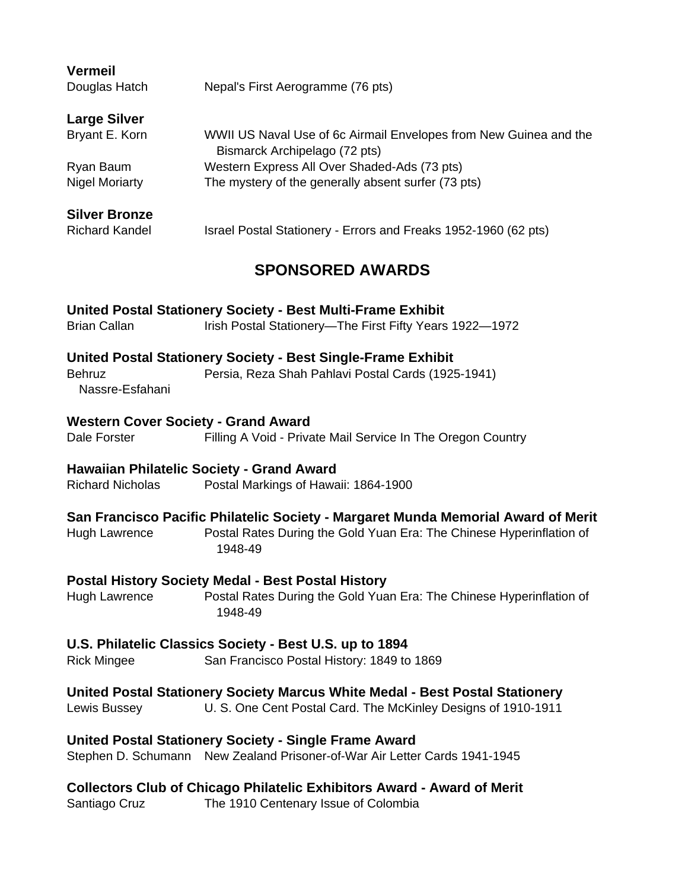| <b>Vermeil</b>                                               |                                                                                                                               |  |  |
|--------------------------------------------------------------|-------------------------------------------------------------------------------------------------------------------------------|--|--|
| Douglas Hatch                                                | Nepal's First Aerogramme (76 pts)                                                                                             |  |  |
| <b>Large Silver</b>                                          |                                                                                                                               |  |  |
| Bryant E. Korn                                               | WWII US Naval Use of 6c Airmail Envelopes from New Guinea and the<br>Bismarck Archipelago (72 pts)                            |  |  |
| Ryan Baum                                                    | Western Express All Over Shaded-Ads (73 pts)                                                                                  |  |  |
| <b>Nigel Moriarty</b>                                        | The mystery of the generally absent surfer (73 pts)                                                                           |  |  |
| <b>Silver Bronze</b>                                         |                                                                                                                               |  |  |
| <b>Richard Kandel</b>                                        | Israel Postal Stationery - Errors and Freaks 1952-1960 (62 pts)                                                               |  |  |
| <b>SPONSORED AWARDS</b>                                      |                                                                                                                               |  |  |
| <b>Brian Callan</b>                                          | <b>United Postal Stationery Society - Best Multi-Frame Exhibit</b><br>Irish Postal Stationery-The First Fifty Years 1922-1972 |  |  |
|                                                              | <b>United Postal Stationery Society - Best Single-Frame Exhibit</b>                                                           |  |  |
| <b>Behruz</b><br>Nassre-Esfahani                             | Persia, Reza Shah Pahlavi Postal Cards (1925-1941)                                                                            |  |  |
| <b>Western Cover Society - Grand Award</b>                   |                                                                                                                               |  |  |
| Dale Forster                                                 | Filling A Void - Private Mail Service In The Oregon Country                                                                   |  |  |
|                                                              | <b>Hawaiian Philatelic Society - Grand Award</b>                                                                              |  |  |
| <b>Richard Nicholas</b>                                      | Postal Markings of Hawaii: 1864-1900                                                                                          |  |  |
|                                                              | San Francisco Pacific Philatelic Society - Margaret Munda Memorial Award of Merit                                             |  |  |
| <b>Hugh Lawrence</b>                                         | Postal Rates During the Gold Yuan Era: The Chinese Hyperinflation of<br>1948-49                                               |  |  |
|                                                              | <b>Postal History Society Medal - Best Postal History</b>                                                                     |  |  |
| <b>Hugh Lawrence</b>                                         | Postal Rates During the Gold Yuan Era: The Chinese Hyperinflation of<br>1948-49                                               |  |  |
|                                                              | U.S. Philatelic Classics Society - Best U.S. up to 1894                                                                       |  |  |
| <b>Rick Mingee</b>                                           | San Francisco Postal History: 1849 to 1869                                                                                    |  |  |
|                                                              | United Postal Stationery Society Marcus White Medal - Best Postal Stationery                                                  |  |  |
| Lewis Bussey                                                 | U. S. One Cent Postal Card. The McKinley Designs of 1910-1911                                                                 |  |  |
| <b>United Postal Stationery Society - Single Frame Award</b> |                                                                                                                               |  |  |
|                                                              | Stephen D. Schumann New Zealand Prisoner-of-War Air Letter Cards 1941-1945                                                    |  |  |
|                                                              | <b>Collectors Club of Chicago Philatelic Exhibitors Award - Award of Merit</b>                                                |  |  |
| Santiago Cruz                                                | The 1910 Centenary Issue of Colombia                                                                                          |  |  |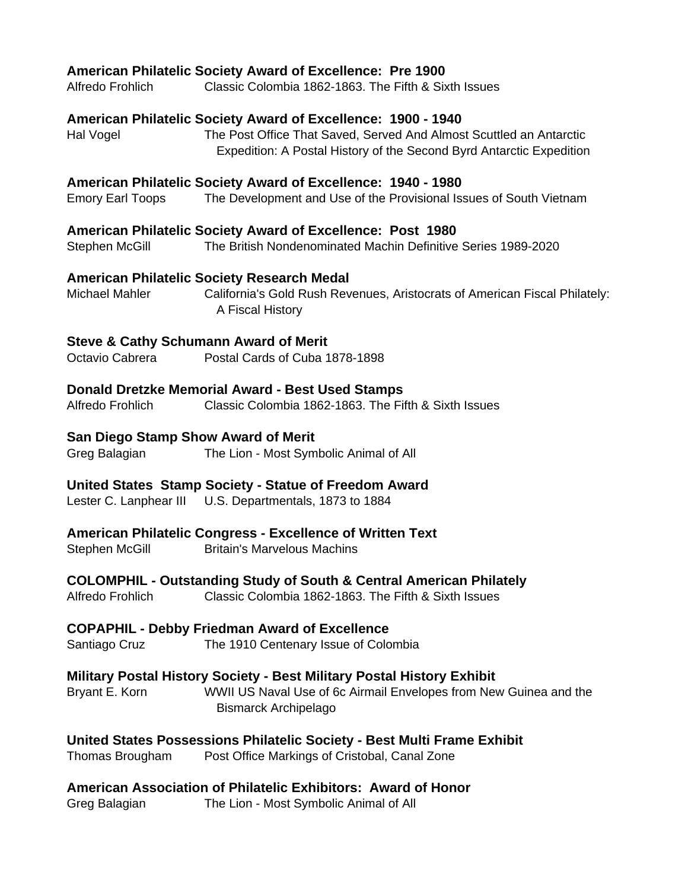### **American Philatelic Society Award of Excellence: Pre 1900**

Alfredo Frohlich Classic Colombia 1862-1863. The Fifth & Sixth Issues

#### **American Philatelic Society Award of Excellence: 1900 - 1940**

Hal Vogel The Post Office That Saved, Served And Almost Scuttled an Antarctic Expedition: A Postal History of the Second Byrd Antarctic Expedition

#### **American Philatelic Society Award of Excellence: 1940 - 1980**

Emory Earl Toops The Development and Use of the Provisional Issues of South Vietnam

#### **American Philatelic Society Award of Excellence: Post 1980**

Stephen McGill The British Nondenominated Machin Definitive Series 1989-2020

#### **American Philatelic Society Research Medal**

Michael Mahler **California's Gold Rush Revenues, Aristocrats of American Fiscal Philately:** A Fiscal History

#### **Steve & Cathy Schumann Award of Merit**

Octavio Cabrera Postal Cards of Cuba 1878-1898

### **Donald Dretzke Memorial Award - Best Used Stamps**

Alfredo Frohlich Classic Colombia 1862-1863. The Fifth & Sixth Issues

#### **San Diego Stamp Show Award of Merit**

Greg Balagian The Lion - Most Symbolic Animal of All

#### **United States Stamp Society - Statue of Freedom Award**

Lester C. Lanphear III U.S. Departmentals, 1873 to 1884

### **American Philatelic Congress - Excellence of Written Text**

Stephen McGill Britain's Marvelous Machins

### **COLOMPHIL - Outstanding Study of South & Central American Philately**

Alfredo Frohlich Classic Colombia 1862-1863. The Fifth & Sixth Issues

### **COPAPHIL - Debby Friedman Award of Excellence**

Santiago Cruz The 1910 Centenary Issue of Colombia

### **Military Postal History Society - Best Military Postal History Exhibit**

Bryant E. Korn WWII US Naval Use of 6c Airmail Envelopes from New Guinea and the Bismarck Archipelago

### **United States Possessions Philatelic Society - Best Multi Frame Exhibit**

Thomas Brougham Post Office Markings of Cristobal, Canal Zone

### **American Association of Philatelic Exhibitors: Award of Honor**

Greg Balagian The Lion - Most Symbolic Animal of All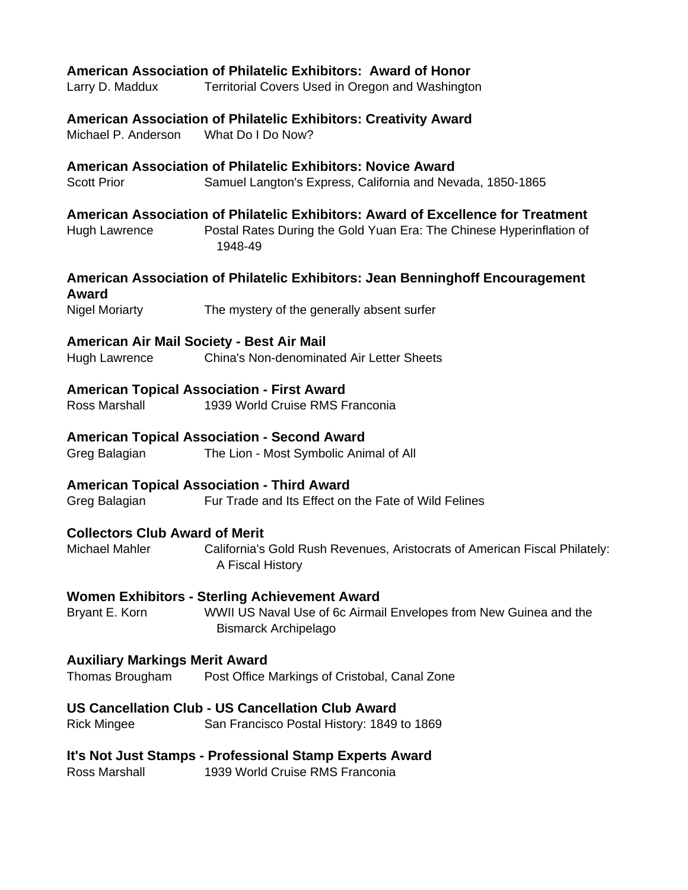| Larry D. Maddux                                            | American Association of Philatelic Exhibitors: Award of Honor<br>Territorial Covers Used in Oregon and Washington                                                   |
|------------------------------------------------------------|---------------------------------------------------------------------------------------------------------------------------------------------------------------------|
| Michael P. Anderson                                        | American Association of Philatelic Exhibitors: Creativity Award<br>What Do I Do Now?                                                                                |
| <b>Scott Prior</b>                                         | American Association of Philatelic Exhibitors: Novice Award<br>Samuel Langton's Express, California and Nevada, 1850-1865                                           |
| Hugh Lawrence                                              | American Association of Philatelic Exhibitors: Award of Excellence for Treatment<br>Postal Rates During the Gold Yuan Era: The Chinese Hyperinflation of<br>1948-49 |
|                                                            | American Association of Philatelic Exhibitors: Jean Benninghoff Encouragement                                                                                       |
| Award<br>Nigel Moriarty                                    | The mystery of the generally absent surfer                                                                                                                          |
| American Air Mail Society - Best Air Mail<br>Hugh Lawrence | <b>China's Non-denominated Air Letter Sheets</b>                                                                                                                    |
|                                                            | <b>American Topical Association - First Award</b>                                                                                                                   |
| Ross Marshall                                              | 1939 World Cruise RMS Franconia                                                                                                                                     |
| Greg Balagian                                              | <b>American Topical Association - Second Award</b><br>The Lion - Most Symbolic Animal of All                                                                        |
| Greg Balagian                                              | <b>American Topical Association - Third Award</b><br>Fur Trade and Its Effect on the Fate of Wild Felines                                                           |
| <b>Collectors Club Award of Merit</b><br>Michael Mahler    | California's Gold Rush Revenues, Aristocrats of American Fiscal Philately:<br>A Fiscal History                                                                      |
| Bryant E. Korn                                             | Women Exhibitors - Sterling Achievement Award<br>WWII US Naval Use of 6c Airmail Envelopes from New Guinea and the<br><b>Bismarck Archipelago</b>                   |
| <b>Auxiliary Markings Merit Award</b><br>Thomas Brougham   | Post Office Markings of Cristobal, Canal Zone                                                                                                                       |
| <b>Rick Mingee</b>                                         | <b>US Cancellation Club - US Cancellation Club Award</b><br>San Francisco Postal History: 1849 to 1869                                                              |
| Ross Marshall                                              | It's Not Just Stamps - Professional Stamp Experts Award<br>1939 World Cruise RMS Franconia                                                                          |
|                                                            |                                                                                                                                                                     |